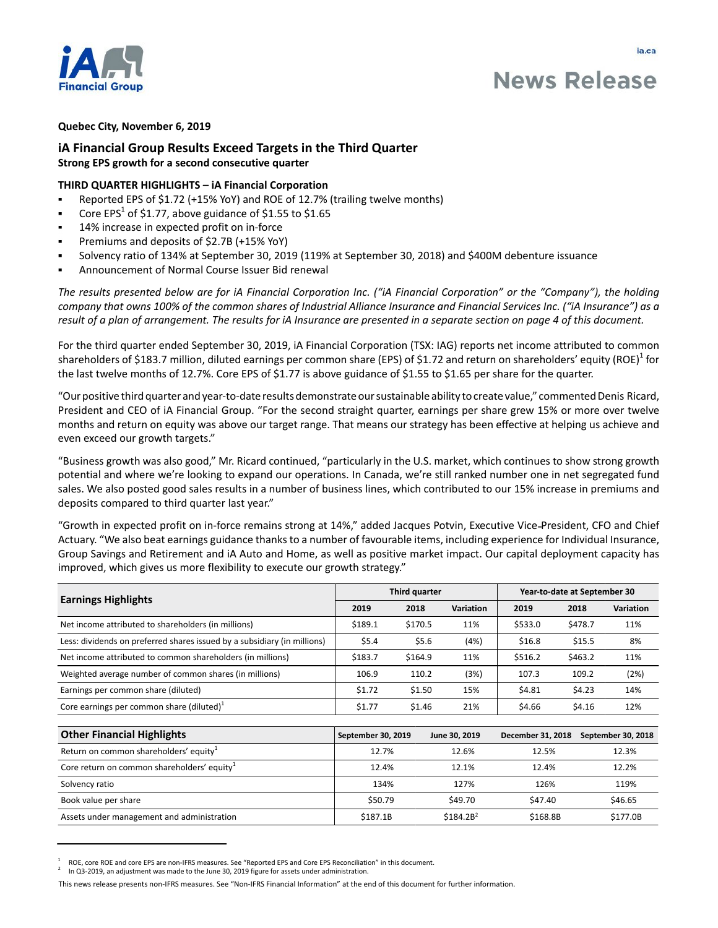

ja.ca

# **Quebec City, November 6, 2019**

# **iA Financial Group Results Exceed Targets in the Third Quarter Strong EPS growth for a second consecutive quarter**

# **THIRD QUARTER HIGHLIGHTS – iA Financial Corporation**

- Reported EPS of \$1.72 (+15% YoY) and ROE of 12.7% (trailing twelve months)
- Core EPS<sup>1</sup> of \$1.77, above guidance of \$1.55 to \$1.65
- 14% increase in expected profit on in-force
- Premiums and deposits of \$2.7B (+15% YoY)
- Solvency ratio of 134% at September 30, 2019 (119% at September 30, 2018) and \$400M debenture issuance
- Announcement of Normal Course Issuer Bid renewal

*The results presented below are for iA Financial Corporation Inc. ("iA Financial Corporation" or the "Company"), the holding company that owns 100% of the common shares of Industrial Alliance Insurance and Financial Services Inc. ("iA Insurance") as a result of a plan of arrangement. The results for iA Insurance are presented in a separate section on page 4 of this document.* 

For the third quarter ended September 30, 2019, iA Financial Corporation (TSX: IAG) reports net income attributed to common shareholders of \$183.7 million, diluted earnings per common share (EPS) of \$1.72 and return on shareholders' equity (ROE) $^1$  for the last twelve months of 12.7%. Core EPS of \$1.77 is above guidance of \$1.55 to \$1.65 per share for the quarter.

"Our positive third quarter and year-to-date results demonstrate our sustainable ability to create value," commented Denis Ricard, President and CEO of iA Financial Group. "For the second straight quarter, earnings per share grew 15% or more over twelve months and return on equity was above our target range. That means our strategy has been effective at helping us achieve and even exceed our growth targets."

"Business growth was also good," Mr. Ricard continued, "particularly in the U.S. market, which continues to show strong growth potential and where we're looking to expand our operations. In Canada, we're still ranked number one in net segregated fund sales. We also posted good sales results in a number of business lines, which contributed to our 15% increase in premiums and deposits compared to third quarter last year."

"Growth in expected profit on in-force remains strong at 14%," added Jacques Potvin, Executive Vice President, CFO and Chief Actuary. "We also beat earnings guidance thanks to a number of favourable items, including experience for Individual Insurance, Group Savings and Retirement and iA Auto and Home, as well as positive market impact. Our capital deployment capacity has improved, which gives us more flexibility to execute our growth strategy."

| <b>Earnings Highlights</b>                                               |                    | Third quarter |                       | Year-to-date at September 30 |                          |  |
|--------------------------------------------------------------------------|--------------------|---------------|-----------------------|------------------------------|--------------------------|--|
|                                                                          | 2019               | 2018          | Variation             | 2019                         | <b>Variation</b><br>2018 |  |
| Net income attributed to shareholders (in millions)                      | \$189.1            | \$170.5       | 11%                   | \$533.0                      | \$478.7<br>11%           |  |
| Less: dividends on preferred shares issued by a subsidiary (in millions) | \$5.4              | \$5.6         | (4%)                  | \$16.8                       | \$15.5<br>8%             |  |
| Net income attributed to common shareholders (in millions)               | \$183.7            | \$164.9       | 11%                   | \$516.2                      | \$463.2<br>11%           |  |
| Weighted average number of common shares (in millions)                   | 106.9              | 110.2         | (3%)                  | 107.3                        | (2%)<br>109.2            |  |
| Earnings per common share (diluted)                                      | \$1.72             | \$1.50        | 15%                   | \$4.81                       | \$4.23<br>14%            |  |
| Core earnings per common share (diluted) $1$                             | \$1.77             | \$1.46        | 21%                   | \$4.66                       | \$4.16<br>12%            |  |
|                                                                          |                    |               |                       |                              |                          |  |
| <b>Other Financial Highlights</b>                                        | September 30, 2019 |               | June 30, 2019         | December 31, 2018            | September 30, 2018       |  |
| Return on common shareholders' equity <sup>1</sup>                       | 12.7%              |               | 12.6%                 | 12.5%                        | 12.3%                    |  |
| Core return on common shareholders' equity <sup>1</sup>                  | 12.4%              |               | 12.1%                 | 12.4%                        | 12.2%                    |  |
| Solvency ratio                                                           | 134%               |               | 127%                  | 126%                         | 119%                     |  |
| Book value per share                                                     | \$50.79            |               | \$49.70               | \$47.40                      | \$46.65                  |  |
| Assets under management and administration                               | \$187.1B           |               | \$184.2B <sup>2</sup> | \$168.8B                     | \$177.0B                 |  |

<sup>1</sup> ROE, core ROE and core EPS are non-IFRS measures. See "Reported EPS and Core EPS Reconciliation" in this document.

<sup>2</sup> In Q3-2019, an adjustment was made to the June 30, 2019 figure for assets under administration.

This news release presents non-IFRS measures. See "Non-IFRS Financial Information" at the end of this document for further information.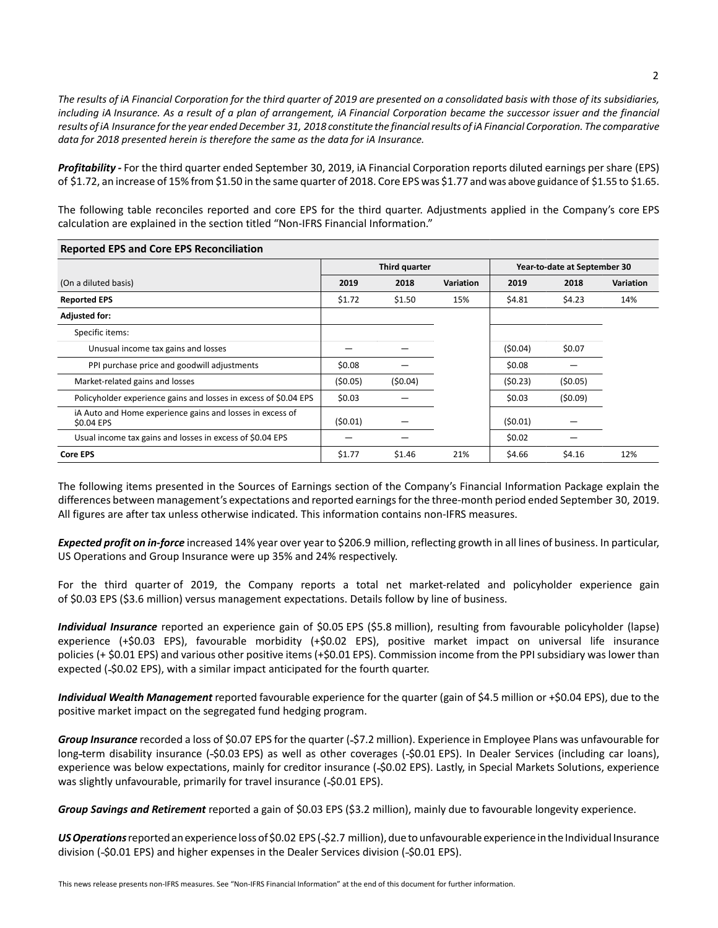*The results of iA Financial Corporation for the third quarter of 2019 are presented on a consolidated basis with those of its subsidiaries, including iA Insurance. As a result of a plan of arrangement, iA Financial Corporation became the successor issuer and the financial results of iA Insurance for the year ended December 31, 2018 constitute the financial results of iA Financial Corporation. The comparative data for 2018 presented herein is therefore the same as the data for iA Insurance.*

*Profitability -* For the third quarter ended September 30, 2019, iA Financial Corporation reports diluted earnings per share (EPS) of \$1.72, an increase of 15% from \$1.50 in the same quarter of 2018. Core EPS was \$1.77 and was above guidance of \$1.55 to \$1.65.

The following table reconciles reported and core EPS for the third quarter. Adjustments applied in the Company's core EPS calculation are explained in the section titled "Non-IFRS Financial Information."

| <b>Reported EPS and Core EPS Reconciliation</b>                         |               |         |                  |                              |         |                  |  |
|-------------------------------------------------------------------------|---------------|---------|------------------|------------------------------|---------|------------------|--|
|                                                                         | Third quarter |         |                  | Year-to-date at September 30 |         |                  |  |
| (On a diluted basis)                                                    | 2019          | 2018    | <b>Variation</b> | 2019                         | 2018    | <b>Variation</b> |  |
| <b>Reported EPS</b>                                                     | \$1.72        | \$1.50  | 15%              | \$4.81                       | \$4.23  | 14%              |  |
| <b>Adjusted for:</b>                                                    |               |         |                  |                              |         |                  |  |
| Specific items:                                                         |               |         |                  |                              |         |                  |  |
| Unusual income tax gains and losses                                     |               |         |                  | (50.04)                      | \$0.07  |                  |  |
| PPI purchase price and goodwill adjustments                             | \$0.08        |         |                  | \$0.08                       |         |                  |  |
| Market-related gains and losses                                         | (50.05)       | (50.04) |                  | (50.23)                      | (50.05) |                  |  |
| Policyholder experience gains and losses in excess of \$0.04 EPS        | \$0.03        |         |                  | \$0.03                       | (50.09) |                  |  |
| iA Auto and Home experience gains and losses in excess of<br>\$0.04 EPS | (50.01)       |         |                  | (50.01)                      |         |                  |  |
| Usual income tax gains and losses in excess of \$0.04 EPS               |               |         |                  | \$0.02                       |         |                  |  |
| <b>Core EPS</b>                                                         | \$1.77        | \$1.46  | 21%              | \$4.66                       | \$4.16  | 12%              |  |

The following items presented in the Sources of Earnings section of the Company's Financial Information Package explain the differences between management's expectations and reported earnings for the three-month period ended September 30, 2019. All figures are after tax unless otherwise indicated. This information contains non-IFRS measures.

*Expected profit on in-force* increased 14% year over year to \$206.9 million, reflecting growth in all lines of business. In particular, US Operations and Group Insurance were up 35% and 24% respectively.

For the third quarter of 2019, the Company reports a total net market-related and policyholder experience gain of \$0.03 EPS (\$3.6 million) versus management expectations. Details follow by line of business.

*Individual Insurance* reported an experience gain of \$0.05 EPS (\$5.8 million), resulting from favourable policyholder (lapse) experience (+\$0.03 EPS), favourable morbidity (+\$0.02 EPS), positive market impact on universal life insurance policies (+ \$0.01 EPS) and various other positive items (+\$0.01 EPS). Commission income from the PPI subsidiary was lower than expected (-\$0.02 EPS), with a similar impact anticipated for the fourth quarter.

*Individual Wealth Management* reported favourable experience for the quarter (gain of \$4.5 million or +\$0.04 EPS), due to the positive market impact on the segregated fund hedging program.

*Group Insurance* recorded a loss of \$0.07 EPS for the quarter (-\$7.2 million). Experience in Employee Plans was unfavourable for long-term disability insurance (-\$0.03 EPS) as well as other coverages (-\$0.01 EPS). In Dealer Services (including car loans), experience was below expectations, mainly for creditor insurance (-\$0.02 EPS). Lastly, in Special Markets Solutions, experience was slightly unfavourable, primarily for travel insurance (-\$0.01 EPS).

*Group Savings and Retirement* reported a gain of \$0.03 EPS (\$3.2 million), mainly due to favourable longevity experience.

*US Operations* reported an experience loss of \$0.02 EPS ( \$2.7 million), due to unfavourable experience in the Individual Insurance division (-\$0.01 EPS) and higher expenses in the Dealer Services division (-\$0.01 EPS).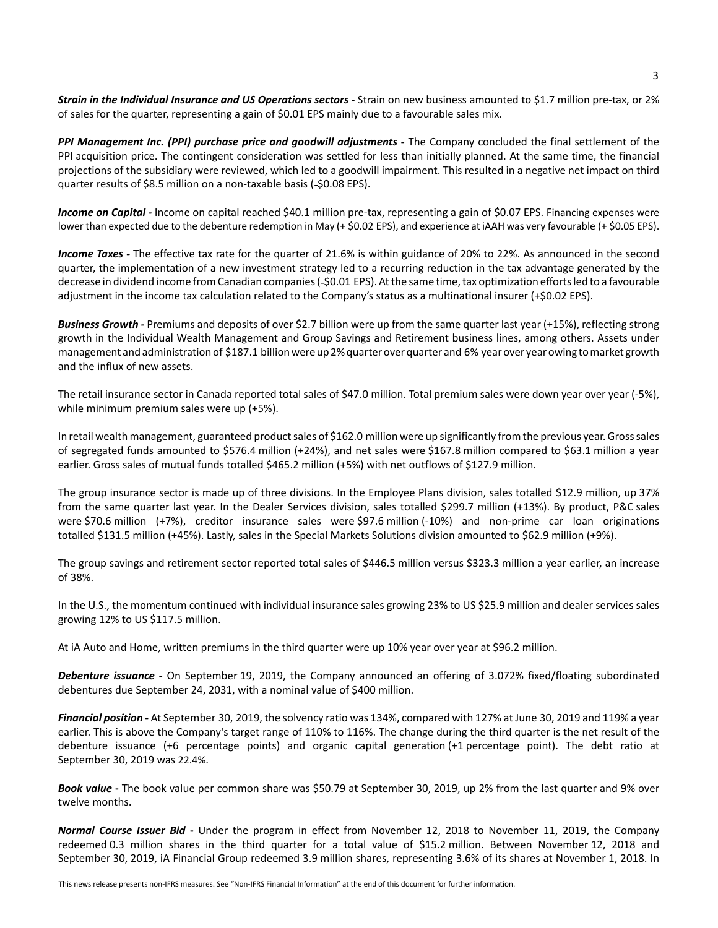*Strain in the Individual Insurance and US Operations sectors -* Strain on new business amounted to \$1.7 million pre-tax, or 2% of sales for the quarter, representing a gain of \$0.01 EPS mainly due to a favourable sales mix.

PPI Management Inc. (PPI) purchase price and goodwill adjustments - The Company concluded the final settlement of the PPI acquisition price. The contingent consideration was settled for less than initially planned. At the same time, the financial projections of the subsidiary were reviewed, which led to a goodwill impairment. This resulted in a negative net impact on third quarter results of \$8.5 million on a non-taxable basis (-\$0.08 EPS).

Income on Capital - Income on capital reached \$40.1 million pre-tax, representing a gain of \$0.07 EPS. Financing expenses were lower than expected due to the debenture redemption in May (+ \$0.02 EPS), and experience at iAAH was very favourable (+ \$0.05 EPS).

*Income Taxes -* The effective tax rate for the quarter of 21.6% is within guidance of 20% to 22%. As announced in the second quarter, the implementation of a new investment strategy led to a recurring reduction in the tax advantage generated by the decrease in dividend income from Canadian companies ( \$0.01 EPS). At the same time, tax optimization efforts led to a favourable adjustment in the income tax calculation related to the Company's status as a multinational insurer (+\$0.02 EPS).

*Business Growth -* Premiums and deposits of over \$2.7 billion were up from the same quarter last year (+15%), reflecting strong growth in the Individual Wealth Management and Group Savings and Retirement business lines, among others. Assets under management and administration of \$187.1 billion were up 2% quarter over quarter and 6% year over year owing to market growth and the influx of new assets.

The retail insurance sector in Canada reported total sales of \$47.0 million. Total premium sales were down year over year (-5%), while minimum premium sales were up (+5%).

In retail wealth management, guaranteed product sales of \$162.0 million were up significantly from the previous year. Gross sales of segregated funds amounted to \$576.4 million (+24%), and net sales were \$167.8 million compared to \$63.1 million a year earlier. Gross sales of mutual funds totalled \$465.2 million (+5%) with net outflows of \$127.9 million.

The group insurance sector is made up of three divisions. In the Employee Plans division, sales totalled \$12.9 million, up 37% from the same quarter last year. In the Dealer Services division, sales totalled \$299.7 million (+13%). By product, P&C sales were \$70.6 million (+7%), creditor insurance sales were \$97.6 million (-10%) and non-prime car loan originations totalled \$131.5 million (+45%). Lastly, sales in the Special Markets Solutions division amounted to \$62.9 million (+9%).

The group savings and retirement sector reported total sales of \$446.5 million versus \$323.3 million a year earlier, an increase of 38%.

In the U.S., the momentum continued with individual insurance sales growing 23% to US \$25.9 million and dealer services sales growing 12% to US \$117.5 million.

At iA Auto and Home, written premiums in the third quarter were up 10% year over year at \$96.2 million.

*Debenture issuance -* On September 19, 2019, the Company announced an offering of 3.072% fixed/floating subordinated debentures due September 24, 2031, with a nominal value of \$400 million.

*Financial position* **-** At September 30, 2019, the solvency ratio was 134%, compared with 127% at June 30, 2019 and 119% a year earlier. This is above the Company's target range of 110% to 116%. The change during the third quarter is the net result of the debenture issuance (+6 percentage points) and organic capital generation (+1 percentage point). The debt ratio at September 30, 2019 was 22.4%.

*Book value* **-** The book value per common share was \$50.79 at September 30, 2019, up 2% from the last quarter and 9% over twelve months.

*Normal Course Issuer Bid* **-** Under the program in effect from November 12, 2018 to November 11, 2019, the Company redeemed 0.3 million shares in the third quarter for a total value of \$15.2 million. Between November 12, 2018 and September 30, 2019, iA Financial Group redeemed 3.9 million shares, representing 3.6% of its shares at November 1, 2018. In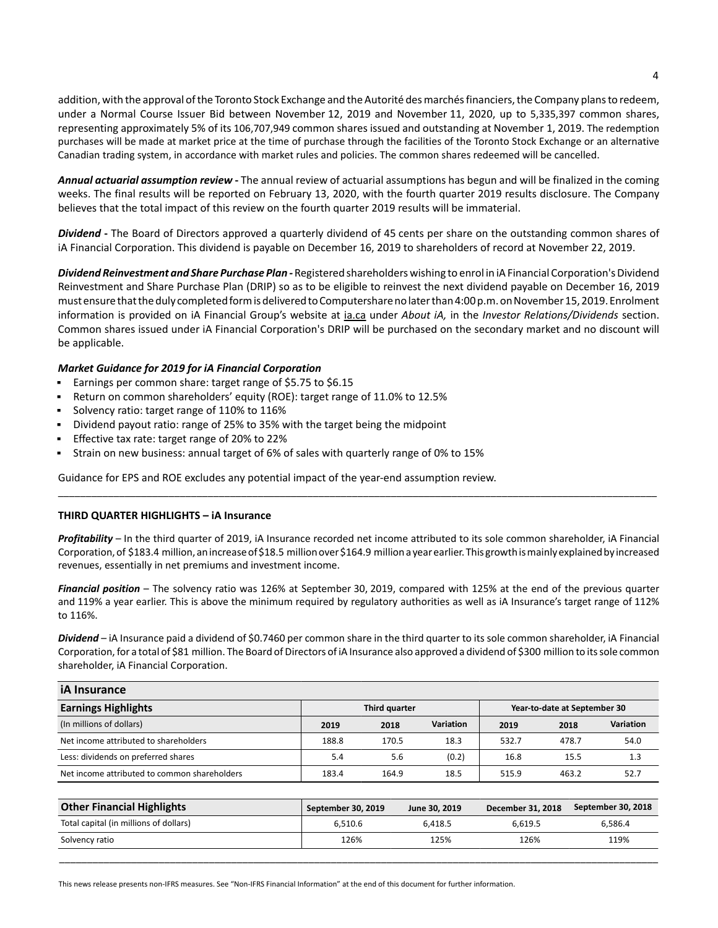addition, with the approval of the Toronto Stock Exchange and the Autorité des marchés financiers, the Company plans to redeem, under a Normal Course Issuer Bid between November 12, 2019 and November 11, 2020, up to 5,335,397 common shares, representing approximately 5% of its 106,707,949 common shares issued and outstanding at November 1, 2019. The redemption purchases will be made at market price at the time of purchase through the facilities of the Toronto Stock Exchange or an alternative Canadian trading system, in accordance with market rules and policies. The common shares redeemed will be cancelled.

*Annual actuarial assumption review* **-** The annual review of actuarial assumptions has begun and will be finalized in the coming weeks. The final results will be reported on February 13, 2020, with the fourth quarter 2019 results disclosure. The Company believes that the total impact of this review on the fourth quarter 2019 results will be immaterial.

*Dividend* **-** The Board of Directors approved a quarterly dividend of 45 cents per share on the outstanding common shares of iA Financial Corporation. This dividend is payable on December 16, 2019 to shareholders of record at November 22, 2019.

*Dividend Reinvestment and Share Purchase Plan -* Registered shareholders wishing to enrol in iA Financial Corporation's Dividend Reinvestment and Share Purchase Plan (DRIP) so as to be eligible to reinvest the next dividend payable on December 16, 2019 must ensure that the duly completed form is delivered to Computershare no later than 4:00 p.m. on November 15, 2019. Enrolment information is provided on iA Financial Group's website at ia.ca under *About iA,* in the *Investor Relations/Dividends* section. Common shares issued under iA Financial Corporation's DRIP will be purchased on the secondary market and no discount will be applicable.

# *Market Guidance for 2019 for iA Financial Corporation*

- Earnings per common share: target range of \$5.75 to \$6.15
- Return on common shareholders' equity (ROE): target range of 11.0% to 12.5%
- $\blacksquare$ Solvency ratio: target range of 110% to 116%
- Dividend payout ratio: range of 25% to 35% with the target being the midpoint
- Effective tax rate: target range of 20% to 22%
- Strain on new business: annual target of 6% of sales with quarterly range of 0% to 15%

Guidance for EPS and ROE excludes any potential impact of the year-end assumption review.

## **THIRD QUARTER HIGHLIGHTS – iA Insurance**

*Profitability* – In the third quarter of 2019, iA Insurance recorded net income attributed to its sole common shareholder, iA Financial Corporation, of \$183.4 million, an increase of \$18.5 million over \$164.9 million a year earlier. This growth is mainly explained by increased revenues, essentially in net premiums and investment income.

\_\_\_\_\_\_\_\_\_\_\_\_\_\_\_\_\_\_\_\_\_\_\_\_\_\_\_\_\_\_\_\_\_\_\_\_\_\_\_\_\_\_\_\_\_\_\_\_\_\_\_\_\_\_\_\_\_\_\_\_\_\_\_\_\_\_\_\_\_\_\_\_\_\_\_\_\_\_\_\_\_\_\_\_\_\_\_\_\_\_\_\_\_\_\_\_\_\_\_\_\_\_\_\_\_\_\_\_

*Financial position* – The solvency ratio was 126% at September 30, 2019, compared with 125% at the end of the previous quarter and 119% a year earlier. This is above the minimum required by regulatory authorities as well as iA Insurance's target range of 112% to 116%.

*Dividend* – iA Insurance paid a dividend of \$0.7460 per common share in the third quarter to its sole common shareholder, iA Financial Corporation, for a total of \$81 million. The Board of Directors of iA Insurance also approved a dividend of \$300 million to its sole common shareholder, iA Financial Corporation.

| <b>iA</b> Insurance                          |               |       |           |                              |       |           |  |  |
|----------------------------------------------|---------------|-------|-----------|------------------------------|-------|-----------|--|--|
| <b>Earnings Highlights</b>                   | Third quarter |       |           | Year-to-date at September 30 |       |           |  |  |
| (In millions of dollars)                     | 2019          | 2018  | Variation | 2019                         | 2018  | Variation |  |  |
| Net income attributed to shareholders        | 188.8         | 170.5 | 18.3      | 532.7                        | 478.7 | 54.0      |  |  |
| Less: dividends on preferred shares          | 5.4           | 5.6   | (0.2)     | 16.8                         | 15.5  | 1.3       |  |  |
| Net income attributed to common shareholders | 183.4         | 164.9 | 18.5      | 515.9                        | 463.2 | 52.7      |  |  |

| <b>Other Financial Highlights</b>      | September 30, 2019 | June 30, 2019 | December 31, 2018 | September 30, 2018 |
|----------------------------------------|--------------------|---------------|-------------------|--------------------|
| Total capital (in millions of dollars) | 6.510.6            | 6.418.5       | 6.619.5           | 6.586.4            |
| Solvency ratio                         | 126%               | 125%          | 126%              | 119%               |

\_\_\_\_\_\_\_\_\_\_\_\_\_\_\_\_\_\_\_\_\_\_\_\_\_\_\_\_\_\_\_\_\_\_\_\_\_\_\_\_\_\_\_\_\_\_\_\_\_\_\_\_\_\_\_\_\_\_\_\_\_\_\_\_\_\_\_\_\_\_\_\_\_\_\_\_\_\_\_\_\_\_\_\_\_\_\_\_\_\_\_\_\_\_\_\_\_\_\_\_\_\_\_\_\_\_\_\_

This news release presents non-IFRS measures. See "Non-IFRS Financial Information" at the end of this document for further information.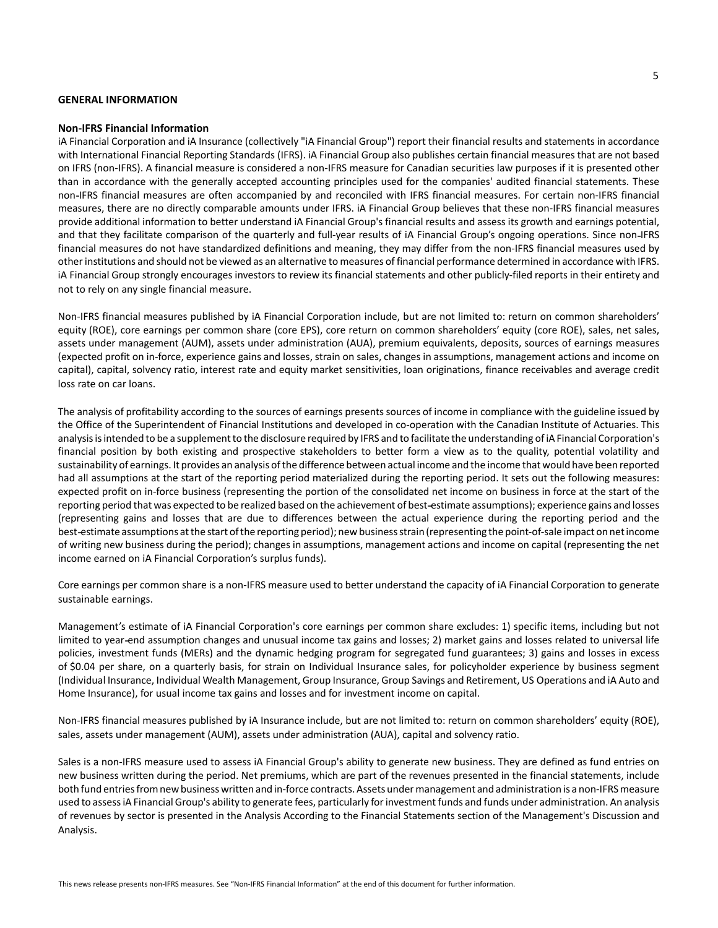### **GENERAL INFORMATION**

#### **Non-IFRS Financial Information**

iA Financial Corporation and iA Insurance (collectively "iA Financial Group") report their financial results and statements in accordance with International Financial Reporting Standards (IFRS). iA Financial Group also publishes certain financial measures that are not based on IFRS (non-IFRS). A financial measure is considered a non-IFRS measure for Canadian securities law purposes if it is presented other than in accordance with the generally accepted accounting principles used for the companies' audited financial statements. These non IFRS financial measures are often accompanied by and reconciled with IFRS financial measures. For certain non-IFRS financial measures, there are no directly comparable amounts under IFRS. iA Financial Group believes that these non-IFRS financial measures provide additional information to better understand iA Financial Group's financial results and assess its growth and earnings potential, and that they facilitate comparison of the quarterly and full-year results of iA Financial Group's ongoing operations. Since non-IFRS financial measures do not have standardized definitions and meaning, they may differ from the non-IFRS financial measures used by other institutions and should not be viewed as an alternative to measures of financial performance determined in accordance with IFRS. iA Financial Group strongly encourages investors to review its financial statements and other publicly-filed reports in their entirety and not to rely on any single financial measure.

Non-IFRS financial measures published by iA Financial Corporation include, but are not limited to: return on common shareholders' equity (ROE), core earnings per common share (core EPS), core return on common shareholders' equity (core ROE), sales, net sales, assets under management (AUM), assets under administration (AUA), premium equivalents, deposits, sources of earnings measures (expected profit on in-force, experience gains and losses, strain on sales, changes in assumptions, management actions and income on capital), capital, solvency ratio, interest rate and equity market sensitivities, loan originations, finance receivables and average credit loss rate on car loans.

The analysis of profitability according to the sources of earnings presents sources of income in compliance with the guideline issued by the Office of the Superintendent of Financial Institutions and developed in co-operation with the Canadian Institute of Actuaries. This analysis is intended to be a supplement to the disclosure required by IFRS and to facilitate the understanding of iA Financial Corporation's financial position by both existing and prospective stakeholders to better form a view as to the quality, potential volatility and sustainability of earnings. It provides an analysis of the difference between actual income and the income that would have been reported had all assumptions at the start of the reporting period materialized during the reporting period. It sets out the following measures: expected profit on in-force business (representing the portion of the consolidated net income on business in force at the start of the reporting period that was expected to be realized based on the achievement of best estimate assumptions); experience gains and losses (representing gains and losses that are due to differences between the actual experience during the reporting period and the best estimate assumptions at the start of the reporting period); new business strain (representing the point-of-sale impact on net income of writing new business during the period); changes in assumptions, management actions and income on capital (representing the net income earned on iA Financial Corporation's surplus funds).

Core earnings per common share is a non-IFRS measure used to better understand the capacity of iA Financial Corporation to generate sustainable earnings.

Management's estimate of iA Financial Corporation's core earnings per common share excludes: 1) specific items, including but not limited to year end assumption changes and unusual income tax gains and losses; 2) market gains and losses related to universal life policies, investment funds (MERs) and the dynamic hedging program for segregated fund guarantees; 3) gains and losses in excess of \$0.04 per share, on a quarterly basis, for strain on Individual Insurance sales, for policyholder experience by business segment (Individual Insurance, Individual Wealth Management, Group Insurance, Group Savings and Retirement, US Operations and iA Auto and Home Insurance), for usual income tax gains and losses and for investment income on capital.

Non-IFRS financial measures published by iA Insurance include, but are not limited to: return on common shareholders' equity (ROE), sales, assets under management (AUM), assets under administration (AUA), capital and solvency ratio.

Sales is a non-IFRS measure used to assess iA Financial Group's ability to generate new business. They are defined as fund entries on new business written during the period. Net premiums, which are part of the revenues presented in the financial statements, include both fund entries from new business written and in-force contracts. Assets under management and administration is a non-IFRS measure used to assess iA Financial Group's ability to generate fees, particularly for investment funds and funds under administration. An analysis of revenues by sector is presented in the Analysis According to the Financial Statements section of the Management's Discussion and Analysis.